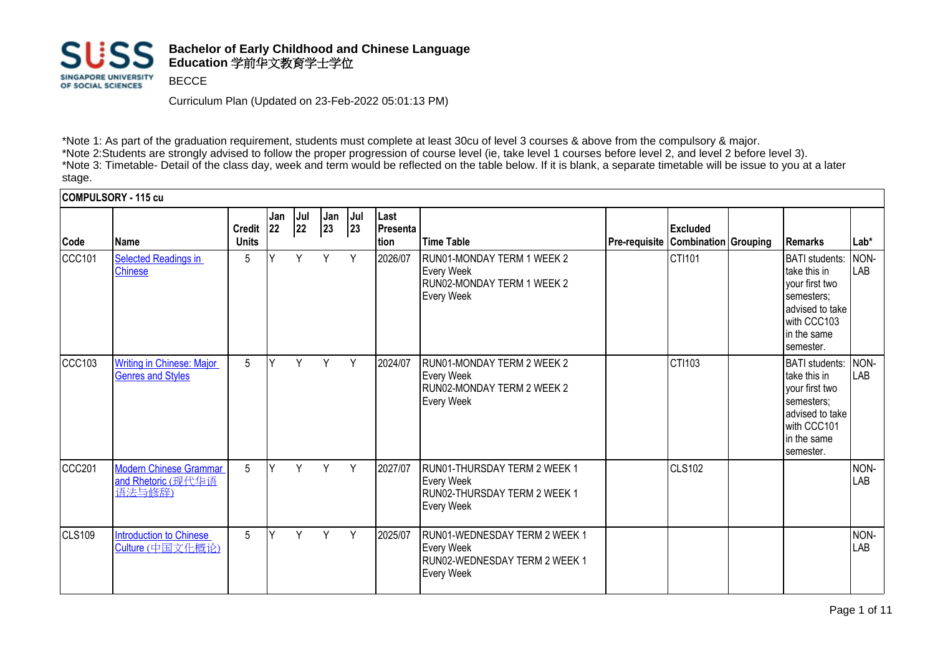

Curriculum Plan (Updated on 23-Feb-2022 05:01:13 PM)

\*Note 1: As part of the graduation requirement, students must complete at least 30cu of level 3 courses & above from the compulsory & major. \*Note 2:Students are strongly advised to follow the proper progression of course level (ie, take level 1 courses before level 2, and level 2 before level 3). \*Note 3: Timetable- Detail of the class day, week and term would be reflected on the table below. If it is blank, a separate timetable will be issue to you at a later stage.

**COMPULSORY - 115 cu**

| Code   | Name                                                          | <b>Credit</b><br><b>Units</b> | Jan<br><b>22</b> | Jul<br>22 | Jan<br>23 | Jul<br>23 | Last<br>Presenta<br>tion | Time Table                                                                                               | Pre-requisite Combination Grouping | Excluded      | Remarks                                                                                                                                               | $Lab*$      |
|--------|---------------------------------------------------------------|-------------------------------|------------------|-----------|-----------|-----------|--------------------------|----------------------------------------------------------------------------------------------------------|------------------------------------|---------------|-------------------------------------------------------------------------------------------------------------------------------------------------------|-------------|
| CCC101 | <b>Selected Readings in</b><br><b>Chinese</b>                 | 5                             |                  | Y         | Y         | Y         | 2026/07                  | RUN01-MONDAY TERM 1 WEEK 2<br><b>Every Week</b><br>RUN02-MONDAY TERM 1 WEEK 2<br>Every Week              |                                    | CTI101        | <b>BATI</b> students:<br>Itake this in<br>vour first two<br>semesters;<br>ladvised to take<br>with CCC103<br>In the same<br>semester.                 | NON-<br>LAB |
| CC103  | <b>Writing in Chinese: Major</b><br><b>Genres and Styles</b>  | 5                             | $\checkmark$     | Y         | Y         | Y         | 2024/07                  | RUN01-MONDAY TERM 2 WEEK 2<br><b>Every Week</b><br>RUN02-MONDAY TERM 2 WEEK 2<br><b>Every Week</b>       |                                    | CTI103        | <b>BATI</b> students:<br><b>I</b> take this in<br>vour first two<br>semesters;<br>advised to take<br>with CCC101<br><b>l</b> in the same<br>semester. | NON-<br>LAB |
| CCC201 | <b>Modern Chinese Grammar</b><br>and Rhetoric (现代华语<br>语法与修辞) | 5                             | $\vee$           | Y         | Y         | Y         | 2027/07                  | RUN01-THURSDAY TERM 2 WEEK 1<br><b>Every Week</b><br>RUN02-THURSDAY TERM 2 WEEK 1<br><b>Every Week</b>   |                                    | <b>CLS102</b> |                                                                                                                                                       | NON-<br>LAB |
| CLS109 | <b>Introduction to Chinese</b><br>Culture (中国文化概论)            | 5                             | Ιv               | Y         | Y         | Y         | 2025/07                  | RUN01-WEDNESDAY TERM 2 WEEK 1<br><b>Every Week</b><br>RUN02-WEDNESDAY TERM 2 WEEK 1<br><b>Every Week</b> |                                    |               |                                                                                                                                                       | NON-<br>LAB |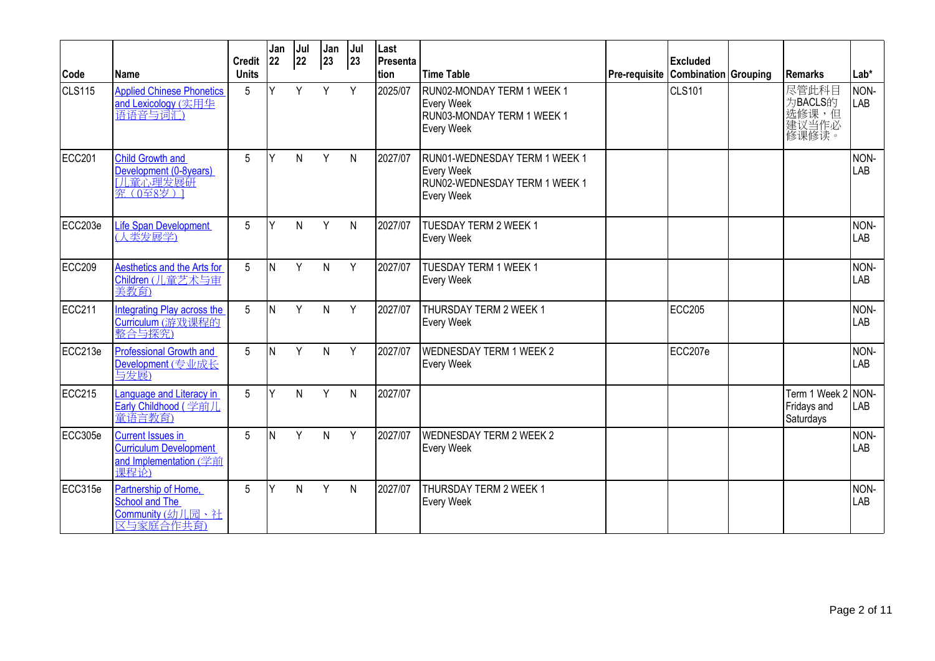| Code    | Name                                                                                        | <b>Credit</b><br><b>Units</b> | Jan<br>22 | Jul<br>22 | Jan<br>23    | Jul<br>23    | Last<br><b>Presenta</b><br><b>Ition</b> | Time Table                                                                                               | <b>Excluded</b><br>Pre-requisite   Combination   Grouping | <b>Remarks</b>                               | Lab*        |
|---------|---------------------------------------------------------------------------------------------|-------------------------------|-----------|-----------|--------------|--------------|-----------------------------------------|----------------------------------------------------------------------------------------------------------|-----------------------------------------------------------|----------------------------------------------|-------------|
| CLS115  | <b>Applied Chinese Phonetics</b><br>and Lexicology (实用华<br>语语音与词汇)                          | 5                             | Y         | Y         | Y            | Y            | 2025/07                                 | RUN02-MONDAY TERM 1 WEEK 1<br><b>Every Week</b><br>RUN03-MONDAY TERM 1 WEEK 1<br><b>Every Week</b>       | <b>CLS101</b>                                             | 尽管此科目<br>为BACLS的<br>)选修课,但<br>建议当作必<br>修课修读。 | NON-<br>LAB |
| ECC201  | <b>Child Growth and</b><br>Development (0-8years)<br>1. 童心理发展研<br>究 (0至8岁)]                 | 5                             | Υ         | N         | Y            | N            | 2027/07                                 | RUN01-WEDNESDAY TERM 1 WEEK 1<br><b>Every Week</b><br>RUN02-WEDNESDAY TERM 1 WEEK 1<br><b>Every Week</b> |                                                           |                                              | NON-<br>LAB |
| ECC203e | <b>Life Span Development</b><br>(人类发展学)                                                     | $5\phantom{.0}$               | Y         | N         | Y            | $\mathsf{N}$ | 2027/07                                 | TUESDAY TERM 2 WEEK 1<br><b>Every Week</b>                                                               |                                                           |                                              | NON-<br>LAB |
| ECC209  | Aesthetics and the Arts for<br>Children (儿童艺术与审<br>美教育)                                     | 5                             | N         | Y         | N            | Y            | 2027/07                                 | <b>TUESDAY TERM 1 WEEK 1</b><br><b>Every Week</b>                                                        |                                                           |                                              | NON-<br>LAB |
| ECC211  | Integrating Play across the<br>Curriculum (游戏课程的<br>整合与探究)                                  | 5                             | ΙN        | Y         | N            | Y            | 2027/07                                 | <b>THURSDAY TERM 2 WEEK 1</b><br><b>Every Week</b>                                                       | <b>ECC205</b>                                             |                                              | NON-<br>LAB |
| ECC213e | <b>Professional Growth and</b><br>Development (专业成长)<br><u>与发展)</u>                         | 5                             | N         | Y         | $\mathsf{N}$ | Y            | 2027/07                                 | <b>WEDNESDAY TERM 1 WEEK 2</b><br><b>Every Week</b>                                                      | ECC207e                                                   |                                              | NON-<br>LAB |
| ECC215  | Language and Literacy in<br>Early Childhood (学前儿<br>童语言教育)                                  | 5                             | Y         | Ν         | Y            | $\mathsf{N}$ | 2027/07                                 |                                                                                                          |                                                           | Term 1 Week 2<br>Fridays and<br>Saturdays    | NON-<br>LAB |
| ECC305e | <b>Current Issues in</b><br><b>Curriculum Development</b><br>and Implementation (学前<br>课程论) | 5                             | ΙN        | Y         | N            | Y            | 2027/07                                 | <b>WEDNESDAY TERM 2 WEEK 2</b><br><b>Every Week</b>                                                      |                                                           |                                              | NON-<br>LAB |
| ECC315e | Partnership of Home.<br>School and The<br>Community (幼儿园、社<br>区与家庭合作共育)                     | 5                             | lΥ        | N         | Y            | N            | 2027/07                                 | <b>THURSDAY TERM 2 WEEK 1</b><br><b>Every Week</b>                                                       |                                                           |                                              | NON-<br>LAB |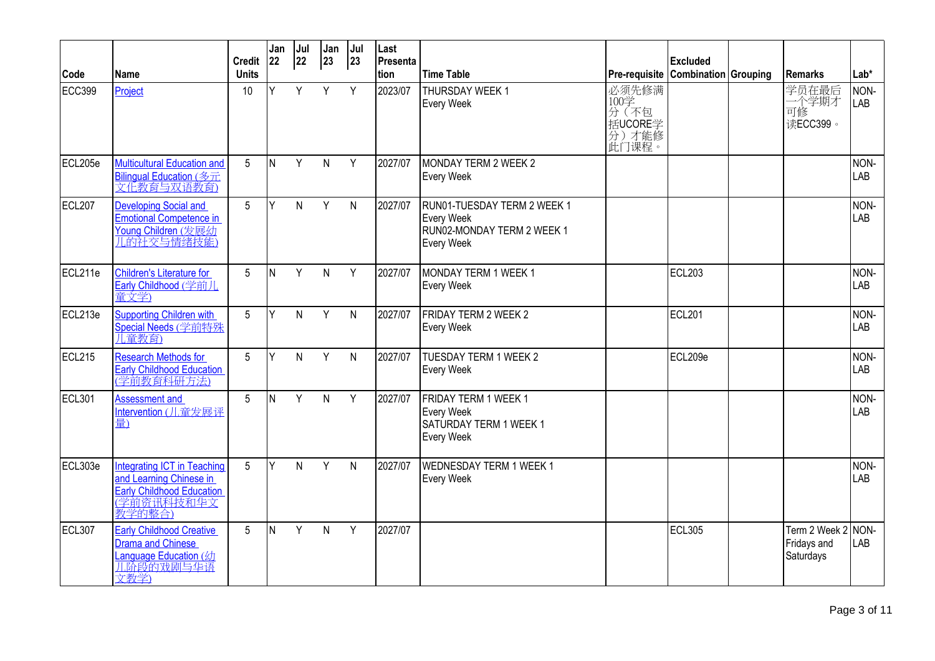|         |                                                                                                             | <b>Credit</b>   | Jan<br>22 | Jul<br>22 | Jan<br>$ 23\rangle$ | Jul<br>23    | Last<br>Presenta |                                                                                              |                                                       | <b>Excluded</b> |                                           |                    |
|---------|-------------------------------------------------------------------------------------------------------------|-----------------|-----------|-----------|---------------------|--------------|------------------|----------------------------------------------------------------------------------------------|-------------------------------------------------------|-----------------|-------------------------------------------|--------------------|
| Code    | Name                                                                                                        | <b>Units</b>    |           |           |                     |              | tion             | <b>Time Table</b>                                                                            | Pre-requisite Combination Grouping                    |                 | <b>Remarks</b>                            | $Lab*$             |
| ECC399  | Project                                                                                                     | 10              | Y         | Y         | Y                   | Y            | 2023/07          | THURSDAY WEEK 1<br><b>Every Week</b>                                                         | 必须先修满<br>100学<br>分(不包<br>括UCORE学<br> 分 )才能修<br> 此门课程。 |                 | 学员在最后<br>二个学期才<br>可修<br>读ECC399。          | NON-<br>LAB        |
| ECL205e | Multicultural Education and<br>Bilingual Education (多元<br>文化教育与双语教育)                                        | 5               | IN.       | Y         | $\mathsf{N}$        | Y            | 2027/07          | <b>MONDAY TERM 2 WEEK 2</b><br><b>Every Week</b>                                             |                                                       |                 |                                           | NON-<br><b>LAB</b> |
| ECL207  | <b>Developing Social and</b><br><b>Emotional Competence in</b><br>Young Children (发展幼<br>儿的社交与情绪技能)         | 5               | Y         | N.        | Y                   | N            | 2027/07          | RUN01-TUESDAY TERM 2 WEEK 1<br><b>Every Week</b><br>RUN02-MONDAY TERM 2 WEEK 1<br>Every Week |                                                       |                 |                                           | NON-<br>LAB        |
| ECL211e | Children's Literature for<br>Early Childhood (学前儿<br>童文学)                                                   | 5               | İΝ        | Y         | $\mathsf{N}$        | Y            | 2027/07          | MONDAY TERM 1 WEEK 1<br><b>Every Week</b>                                                    |                                                       | ECL203          |                                           | NON-<br><b>LAB</b> |
| ECL213e | Supporting Children with<br>Special Needs (学前特殊<br>儿童教育)                                                    | 5               | Y         | N.        | Y                   | $\mathsf{N}$ | 2027/07          | FRIDAY TERM 2 WEEK 2<br>Every Week                                                           |                                                       | <b>ECL201</b>   |                                           | NON-<br>LAB        |
| ECL215  | <b>Research Methods for</b><br>Early Childhood Education                                                    | $5\overline{)}$ | Y         | N.        | Y                   | $\mathsf{N}$ | 2027/07          | TUESDAY TERM 1 WEEK 2<br><b>Every Week</b>                                                   |                                                       | ECL209e         |                                           | NON-<br>LAB        |
| ECL301  | <b>Assessment and</b><br>Intervention (儿童发展评<br>量)                                                          | 5               | lN.       | Y         | $\mathsf{N}$        | Y            | 2027/07          | FRIDAY TERM 1 WEEK 1<br><b>Every Week</b><br>SATURDAY TERM 1 WEEK 1<br><b>Every Week</b>     |                                                       |                 |                                           | NON-<br>LAB        |
| ECL303e | Integrating ICT in Teaching<br>and Learning Chinese in<br>Early Childhood Education<br>(学前资讯科技和华文<br>教学的整合) | 5               | Υ         | N         | Y                   | N            | 2027/07          | <b>WEDNESDAY TERM 1 WEEK 1</b><br><b>Every Week</b>                                          |                                                       |                 |                                           | NON-<br>LAB        |
| ECL307  | <b>Early Childhood Creative</b><br>Drama and Chinese<br>Language Education (幼<br>儿阶段的戏剧与华语<br>文教学)          | 5               | IN.       | Y         | $\mathsf{N}$        | Y            | 2027/07          |                                                                                              |                                                       | <b>ECL305</b>   | Term 2 Week 2<br>Fridays and<br>Saturdays | NON-<br><b>LAB</b> |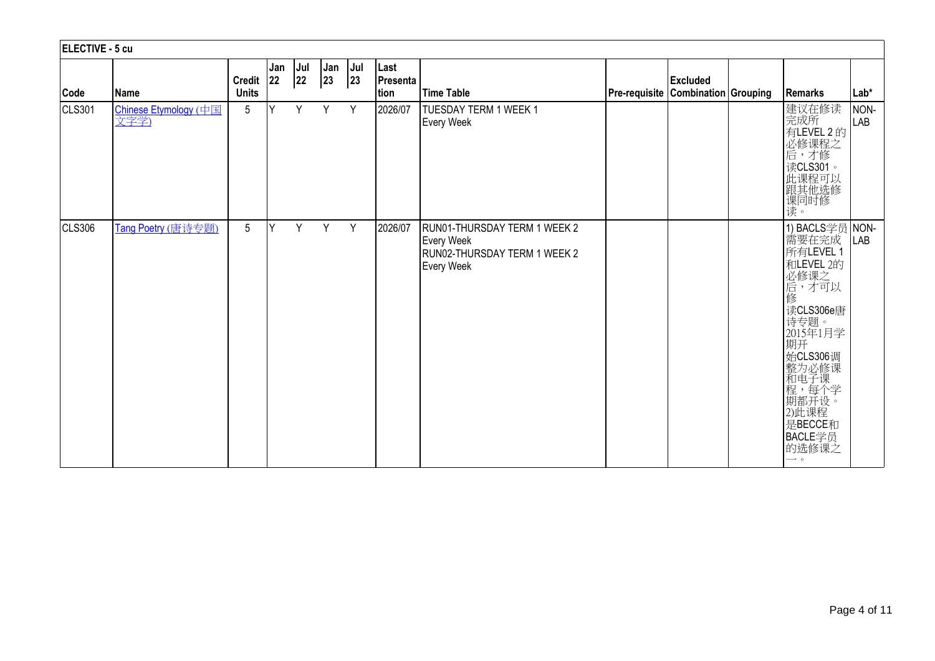| ELECTIVE - 5 cu |                               |                           |     |           |                     |                |                           |                                                                                                        |                                    |                 |                                                                                                                                                                                                                                     |                    |
|-----------------|-------------------------------|---------------------------|-----|-----------|---------------------|----------------|---------------------------|--------------------------------------------------------------------------------------------------------|------------------------------------|-----------------|-------------------------------------------------------------------------------------------------------------------------------------------------------------------------------------------------------------------------------------|--------------------|
| Code            | Name                          | Credit 22<br><b>Units</b> | Jan | Jul<br>22 | Jan<br>$ 23\rangle$ | $ $ Jul<br> 23 | Last<br>Presenta<br> tion | <b>Time Table</b>                                                                                      | Pre-requisite Combination Grouping | <b>Excluded</b> | Remarks                                                                                                                                                                                                                             | $Lab*$             |
| CLS301          | Chinese Etymology (中国<br>文字学) | $5\phantom{.0}$           | lY. | Y         | Y                   | Y              | 2026/07                   | <b>TUESDAY TERM 1 WEEK 1</b><br><b>Every Week</b>                                                      |                                    |                 | 建议在修读<br>完成所<br>有LEVEL 2 的<br>必修课程之<br>后,才修<br>读CLS301。<br>此课程可以<br>跟其他选修<br>课同时修<br>读。                                                                                                                                             | NON-<br><b>LAB</b> |
| CLS306          | Tang Poetry (唐诗专题)            | $5\phantom{.0}$           | Y   | Y.        | Y                   | Y              | 2026/07                   | RUN01-THURSDAY TERM 1 WEEK 2<br><b>Every Week</b><br>RUN02-THURSDAY TERM 1 WEEK 2<br><b>Every Week</b> |                                    |                 | 1) BACLS学员 NON-<br>需要在完成<br>所有LEVEL 1<br>和LEVEL 2的<br>必修课之<br>后,才可以<br>修<br>读CLS306e唐<br>诗专题。<br>2015年1月学<br>期开<br>始CLS306调<br>知整和程期和程式<br>为电,都开始<br>如此1.5<br>如果<br>是BECCE和<br>BACLE学员<br>的选修课之<br>$\overline{\phantom{0}}$ $\circ$ | <b>LAB</b>         |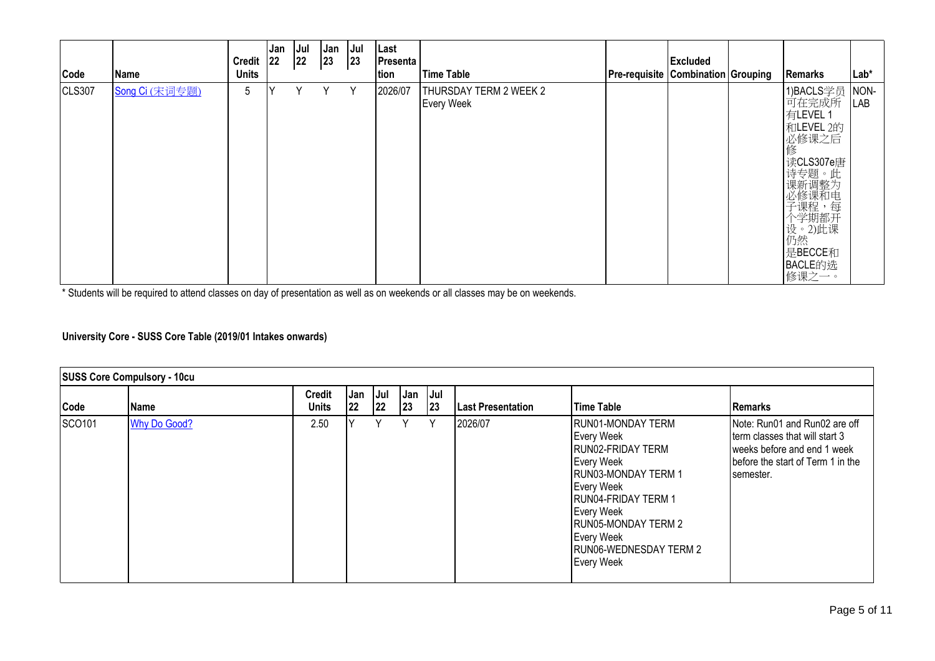| Code          | Name           | Credit 22<br><b>Units</b> | Jan | Jul<br>$ 22\rangle$ | Jan<br> 23 | Jul<br> 23 | Last<br>Presenta<br>tion | Time Table                                  | <b>Pre-requisite Combination Grouping</b> | <b>Excluded</b> | <b>Remarks</b>                                                                                                                                                 | Lab*        |
|---------------|----------------|---------------------------|-----|---------------------|------------|------------|--------------------------|---------------------------------------------|-------------------------------------------|-----------------|----------------------------------------------------------------------------------------------------------------------------------------------------------------|-------------|
| <b>CLS307</b> | Song Ci (宋词专题) | $5\phantom{.0}$           |     | Y                   | Υ          | Y          | 2026/07                  | THURSDAY TERM 2 WEEK 2<br><b>Every Week</b> |                                           |                 | 1)BACLS学员<br>可在完成所<br>有LEVEL 1<br>和LEVEL 2的<br>」必修课之后<br> 修<br>读CLS307e唐<br><sup>は诗课必子个设仍:受新修课学。然【3题调课程期】 (15)题调课程用题 (15)</sup><br>是BECCE和<br>BACLE的选<br>修课之一。 | NON-<br>LAB |

\* Students will be required to attend classes on day of presentation as well as on weekends or all classes may be on weekends.

## **University Core - SUSS Core Table (2019/01 Intakes onwards)**

|               | <b>SUSS Core Compulsory - 10cu</b> |                               |            |            |           |                |                          |                                                                                                                                                                                                                                                 |                                                                                                                                                   |
|---------------|------------------------------------|-------------------------------|------------|------------|-----------|----------------|--------------------------|-------------------------------------------------------------------------------------------------------------------------------------------------------------------------------------------------------------------------------------------------|---------------------------------------------------------------------------------------------------------------------------------------------------|
| Code          | Name                               | <b>Credit</b><br><b>Units</b> | Jan<br> 22 | Jul<br> 22 | Jan<br>23 | $ $ Jul<br> 23 | <b>Last Presentation</b> | Time Table                                                                                                                                                                                                                                      | Remarks                                                                                                                                           |
| <b>SCO101</b> | <b>Why Do Good?</b>                | 2.50                          |            | ٧          | Υ         | Y              | 2026/07                  | RUN01-MONDAY TERM<br>Every Week<br>RUN02-FRIDAY TERM<br>Every Week<br><b>IRUN03-MONDAY TERM 1</b><br>Every Week<br><b>RUN04-FRIDAY TERM 1</b><br>Every Week<br><b>RUN05-MONDAY TERM 2</b><br>Every Week<br>RUN06-WEDNESDAY TERM 2<br>Every Week | Note: Run01 and Run02 are off<br>term classes that will start 3<br>weeks before and end 1 week<br>before the start of Term 1 in the<br>Isemester. |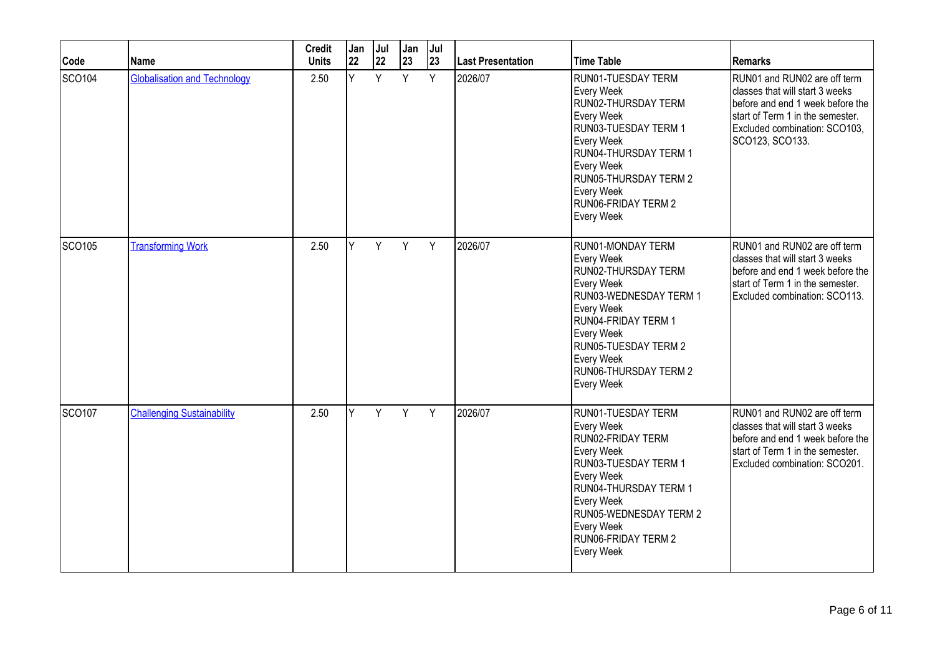| Code          | Name                                | <b>Credit</b><br><b>Units</b> | Jan<br>22 | Jul<br>22 | Jan<br>23 | Jul<br>23 | Last Presentation | <b>Time Table</b>                                                                                                                                                                                                                            | Remarks                                                                                                                                                                                     |
|---------------|-------------------------------------|-------------------------------|-----------|-----------|-----------|-----------|-------------------|----------------------------------------------------------------------------------------------------------------------------------------------------------------------------------------------------------------------------------------------|---------------------------------------------------------------------------------------------------------------------------------------------------------------------------------------------|
| SCO104        | <b>Globalisation and Technology</b> | 2.50                          | Ÿ         | Y         | Y         | Y         | 2026/07           | RUN01-TUESDAY TERM<br>Every Week<br>RUN02-THURSDAY TERM<br>Every Week<br>RUN03-TUESDAY TERM 1<br>Every Week<br>RUN04-THURSDAY TERM 1<br>Every Week<br>RUN05-THURSDAY TERM 2<br>Every Week<br>RUN06-FRIDAY TERM 2<br>Every Week               | RUN01 and RUN02 are off term<br>classes that will start 3 weeks<br>before and end 1 week before the<br>start of Term 1 in the semester.<br>Excluded combination: SCO103,<br>SCO123, SCO133. |
| SCO105        | <b>Transforming Work</b>            | 2.50                          | Y         | Y         | Y         | Y         | 2026/07           | RUN01-MONDAY TERM<br>Every Week<br>RUN02-THURSDAY TERM<br>Every Week<br>RUN03-WEDNESDAY TERM 1<br>Every Week<br><b>RUN04-FRIDAY TERM 1</b><br>Every Week<br><b>RUN05-TUESDAY TERM 2</b><br>Every Week<br>RUN06-THURSDAY TERM 2<br>Every Week | RUN01 and RUN02 are off term<br>classes that will start 3 weeks<br>before and end 1 week before the<br>start of Term 1 in the semester.<br>Excluded combination: SCO113.                    |
| <b>SCO107</b> | <b>Challenging Sustainability</b>   | 2.50                          | Y         | Y         | Y         | Y         | 2026/07           | <b>RUN01-TUESDAY TERM</b><br>Every Week<br>RUN02-FRIDAY TERM<br>Every Week<br>RUN03-TUESDAY TERM 1<br>Every Week<br>RUN04-THURSDAY TERM 1<br>Every Week<br>RUN05-WEDNESDAY TERM 2<br>Every Week<br>RUN06-FRIDAY TERM 2<br>Every Week         | RUN01 and RUN02 are off term<br>classes that will start 3 weeks<br>before and end 1 week before the<br>start of Term 1 in the semester.<br>Excluded combination: SCO201.                    |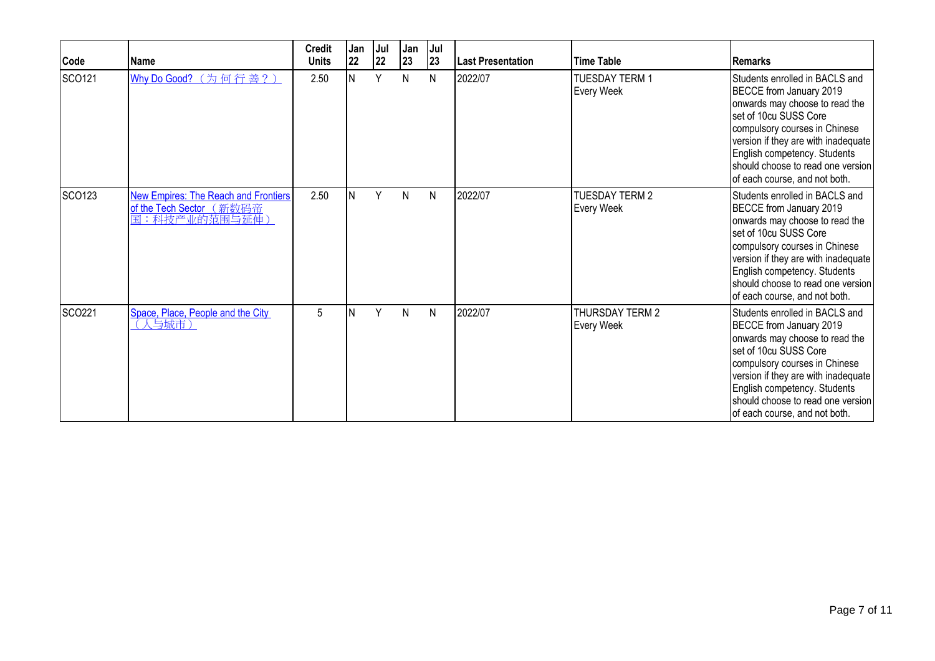| Code   | <b>Name</b>                                                                              | <b>Credit</b><br><b>Units</b> | Jan<br> 22 | Jul<br>22 | Jan<br>23 | Jul<br>23    | <b>Last Presentation</b> | <b>Time Table</b>                    | <b>Remarks</b>                                                                                                                                                                                                                                                                                     |
|--------|------------------------------------------------------------------------------------------|-------------------------------|------------|-----------|-----------|--------------|--------------------------|--------------------------------------|----------------------------------------------------------------------------------------------------------------------------------------------------------------------------------------------------------------------------------------------------------------------------------------------------|
| SCO121 | Why Do Good? (为何行善?)                                                                     | 2.50                          |            | Y         | N         | $\mathsf{N}$ | 2022/07                  | <b>TUESDAY TERM 1</b><br>Every Week  | Students enrolled in BACLS and<br>BECCE from January 2019<br>onwards may choose to read the<br>set of 10cu SUSS Core<br>compulsory courses in Chinese<br>version if they are with inadequate<br>English competency. Students<br>should choose to read one version<br>of each course, and not both. |
| SCO123 | <b>New Empires: The Reach and Frontiers</b><br>of the Tech Sector (新数码帝<br>国:科技产业的范围与延伸) | 2.50                          |            | Υ         | N         | $\mathsf{N}$ | 2022/07                  | <b>TUESDAY TERM 2</b><br>Every Week  | Students enrolled in BACLS and<br>BECCE from January 2019<br>onwards may choose to read the<br>set of 10cu SUSS Core<br>compulsory courses in Chinese<br>version if they are with inadequate<br>English competency. Students<br>should choose to read one version<br>of each course, and not both. |
| SCO221 | Space, Place, People and the City<br>(人与城市)                                              | 5                             |            | Y         | N         | $\mathsf{N}$ | 2022/07                  | <b>THURSDAY TERM 2</b><br>Every Week | Students enrolled in BACLS and<br>BECCE from January 2019<br>onwards may choose to read the<br>set of 10cu SUSS Core<br>compulsory courses in Chinese<br>version if they are with inadequate<br>English competency. Students<br>should choose to read one version<br>of each course, and not both. |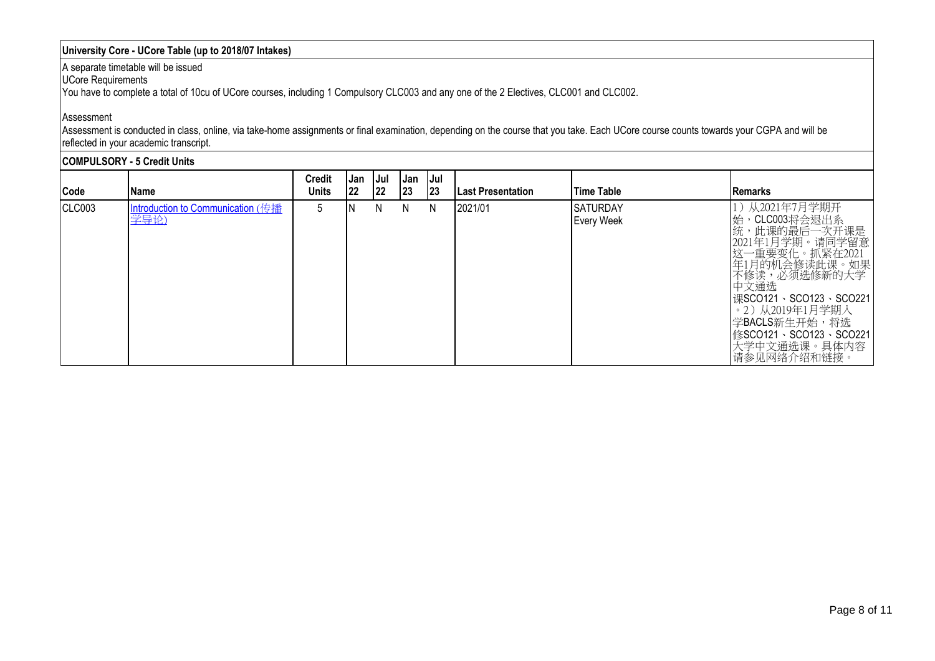## **University Core - UCore Table (up to 2018/07 Intakes)**

#### A separate timetable will be issued

UCore Requirements

You have to complete a total of 10cu of UCore courses, including 1 Compulsory CLC003 and any one of the 2 Electives, CLC001 and CLC002.

#### Assessment

Assessment is conducted in class, online, via take-home assignments or final examination, depending on the course that you take. Each UCore course counts towards your CGPA and will be reflected in your academic transcript.

|        | <b>COMPULSORY - 5 Credit Units</b>        |                               |           |                     |                            |            |                     |                                       |                                                                                                                                                                                                                                                    |  |  |  |
|--------|-------------------------------------------|-------------------------------|-----------|---------------------|----------------------------|------------|---------------------|---------------------------------------|----------------------------------------------------------------------------------------------------------------------------------------------------------------------------------------------------------------------------------------------------|--|--|--|
| Code   | l Name                                    | <b>Credit</b><br><b>Units</b> | Jan<br>22 | Jul<br>$ 22\rangle$ | <b>Jan</b><br>$ 23\rangle$ | Jul<br> 23 | l Last Presentation | lTime Table                           | Remarks                                                                                                                                                                                                                                            |  |  |  |
| CLC003 | Introduction to Communication (传播<br>学导论) | 5                             | ΙN        | N.                  | N.                         | N          | 2021/01             | <b>ISATURDAY</b><br><b>Every Week</b> | 从2021年7月学期开<br>,CLC003将会退出系<br>始<br>统,此课的最后一次开课是<br>2021年1月学期。请同学留意<br>这一重要变化。抓紧在2021<br>年1月的机会修读此课。如果<br>不修读,必须选修新的大学<br>中文通选<br>课SCO121、SCO123、SCO221<br>。2)从2019年1月学期入<br>学BACLS新生开始,将选<br>修SCO121、SCO123、SCO221<br>大学中文通选课。具体内容<br>请参见网络介绍和链接。 |  |  |  |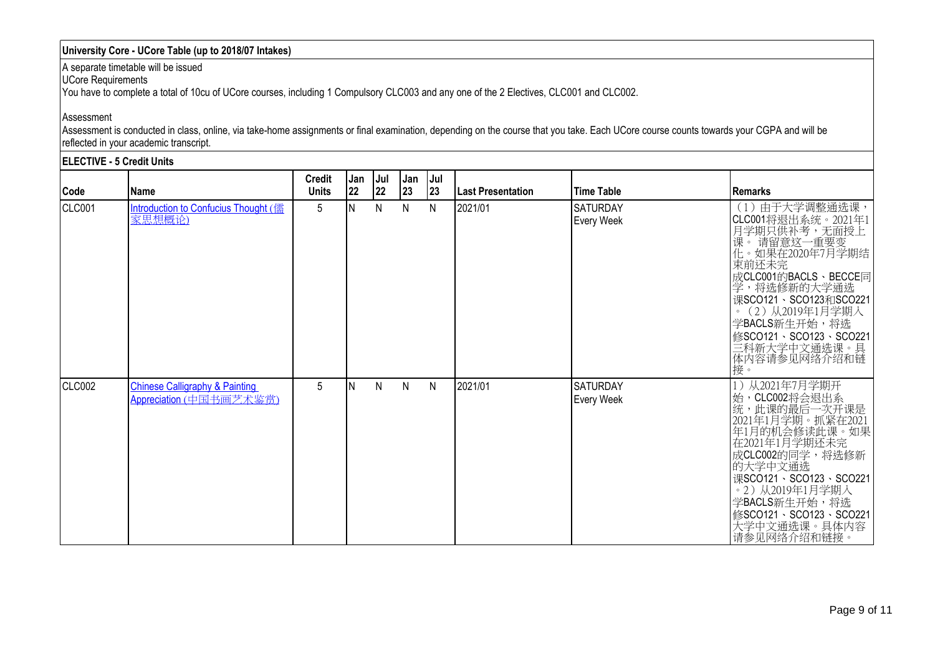## **University Core - UCore Table (up to 2018/07 Intakes)**

A separate timetable will be issued

UCore Requirements

You have to complete a total of 10cu of UCore courses, including 1 Compulsory CLC003 and any one of the 2 Electives, CLC001 and CLC002.

#### Assessment

Assessment is conducted in class, online, via take-home assignments or final examination, depending on the course that you take. Each UCore course counts towards your CGPA and will be reflected in your academic transcript.

|        | <b>ELECTIVE - 5 Credit Units</b>                                     |                               |            |           |              |            |                   |                               |                                                                                                                                                                                                                                                                       |
|--------|----------------------------------------------------------------------|-------------------------------|------------|-----------|--------------|------------|-------------------|-------------------------------|-----------------------------------------------------------------------------------------------------------------------------------------------------------------------------------------------------------------------------------------------------------------------|
| Code   | Name                                                                 | <b>Credit</b><br><b>Units</b> | lJan<br>22 | Jul<br>22 | Jan<br>23    | IJul<br>23 | Last Presentation | <b>Time Table</b>             | <b>Remarks</b>                                                                                                                                                                                                                                                        |
| CLC001 | Introduction to Confucius Thought (儒<br>家思想概论                        | 5                             | N          | N         | N            | N          | 2021/01           | <b>SATURDAY</b><br>Every Week | (1) 由于大学调整通选课,<br>CLC001将退出系统。2021年1月学期只供补考,无面授上课。请留意这一重要变课。请留意这一重要变课。请留意这一重要变<br>束前还未完<br>成CLC001的BACLS、BECCE同<br>学,将选修新的大学通选<br>课SCO121、SCO123和SCO221<br>。(2)从2019年1月学期入<br>学BACLS新生开始,将选<br>修SCO121、SCO123、SCO221<br>三科新大学中文通选课。具<br>体内容请参见网络介绍和链<br>接。            |
| CLC002 | <b>Chinese Calligraphy &amp; Painting</b><br>Appreciation (中国书画艺术鉴赏) | 5                             | N          | N         | $\mathsf{N}$ | N          | 2021/01           | <b>SATURDAY</b><br>Every Week | 1) 从2021年7月学期开<br>始,CLC002将会退出系<br>统,此课的最后一次开课是<br>2021年1月学期。抓紧在2021年1月学期。抓紧在2021<br>年1月的机会修读此课。如果<br>在2021年1月学期还未完<br>成CLC002的同学,将选修新<br>的大学中文通选<br>课SCO121、SCO123、SCO221<br>。2)从2019年1月学期入<br>学BACLS新生开始,将选<br>修SCO121、SCO123、SCO221<br>大学中文通选课。具体内容<br>请参见网络介绍和链接。 |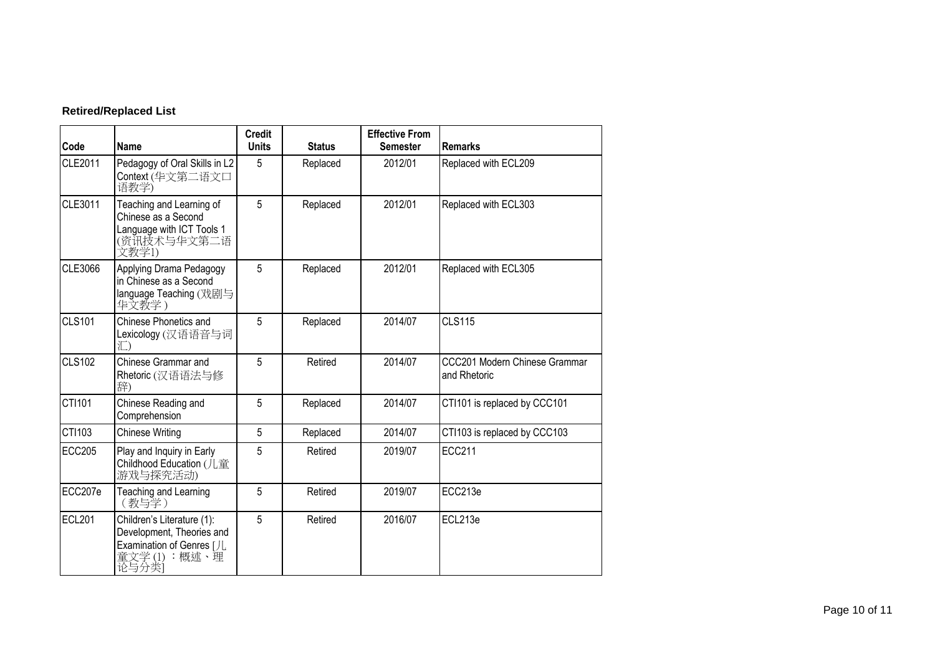# **Retired/Replaced List**

| Code          | <b>Name</b>                                                                                                  | <b>Credit</b><br><b>Units</b> | <b>Status</b> | <b>Effective From</b><br><b>Semester</b> | <b>Remarks</b>                                |
|---------------|--------------------------------------------------------------------------------------------------------------|-------------------------------|---------------|------------------------------------------|-----------------------------------------------|
| CLE2011       | Pedagogy of Oral Skills in L2<br>Context (华文第二语文口<br>语教学)                                                    | 5                             | Replaced      | 2012/01                                  | Replaced with ECL209                          |
| CLE3011       | Teaching and Learning of<br>Chinese as a Second<br>Language with ICT Tools 1<br>(资讯技术与华文第二语<br>文教学1)         | 5                             | Replaced      | 2012/01                                  | Replaced with ECL303                          |
| CLE3066       | Applying Drama Pedagogy<br>in Chinese as a Second<br>language Teaching (戏剧与<br>华文教学)                         | 5                             | Replaced      | 2012/01                                  | Replaced with ECL305                          |
| <b>CLS101</b> | Chinese Phonetics and<br>Lexicology (汉语语音与词<br>汇)                                                            | 5                             | Replaced      | 2014/07                                  | <b>CLS115</b>                                 |
| <b>CLS102</b> | Chinese Grammar and<br>Rhetoric (汉语语法与修<br>辞)                                                                | 5                             | Retired       | 2014/07                                  | CCC201 Modern Chinese Grammar<br>and Rhetoric |
| CTI101        | Chinese Reading and<br>Comprehension                                                                         | 5                             | Replaced      | 2014/07                                  | CTI101 is replaced by CCC101                  |
| CTI103        | <b>Chinese Writing</b>                                                                                       | 5                             | Replaced      | 2014/07                                  | CTI103 is replaced by CCC103                  |
| <b>ECC205</b> | Play and Inquiry in Early<br>Childhood Education (儿童<br>游戏与探究活动)                                             | 5                             | Retired       | 2019/07                                  | <b>ECC211</b>                                 |
| ECC207e       | Teaching and Learning<br>(教与学)                                                                               | 5                             | Retired       | 2019/07                                  | ECC213e                                       |
| <b>ECL201</b> | Children's Literature (1):<br>Development, Theories and<br>Examination of Genres [JL<br>童文学(1):概述、理<br>论与分类〕 | 5                             | Retired       | 2016/07                                  | ECL213e                                       |